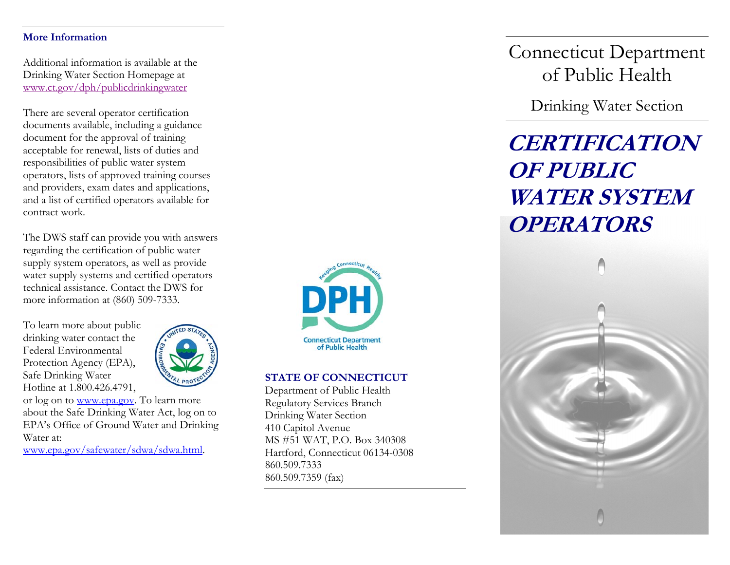#### **More Information**

Additional information is available at the Drinking Water Section Homepage at www.ct.gov/dph/publicdrinkingwater

There are several operator certification documents available, including a guidance document for the approval of training acceptable for renewal, lists of duties and responsibilities of public water system operators, lists of approved training courses and providers, exam dates and applications, and a list of certified operators available for contract work.

The DWS staff can provide you with answers regarding the certification of public water supply system operators, as well as provide water supply systems and certified operators technical assistance. Contact the DWS for more information at (860) 509-7333.

To learn more about public drinking water contact the Federal Environmental Protection Agency (EPA), Safe Drinkin g Water Hotline at 1.800.426.4791,



or log on to <u>www.epa.gov</u>. To learn more about the Safe Drinking Water Act, log on to EPA's Office of Ground Water and Drinking Water at:

[www.epa.gov/safewater/sdwa/sdwa.html](http://www.epa.gov/safewater/sdwa/sdwa.html).



## **STATE OF CONNECTICUT**

Department of Public Health Regulatory Services Branch Drinking Water Section 410 Capitol Avenue MS #51 WAT, P.O. Box 340308 Hartford, Connecticut 06134-0308 860.509.7333 860.509.7359 (fax)

Connecticut Department of Public Health

Drinking Water Section

# **CERTIFICATION OF PUBLIC WATER SYSTEMOPERATORS**